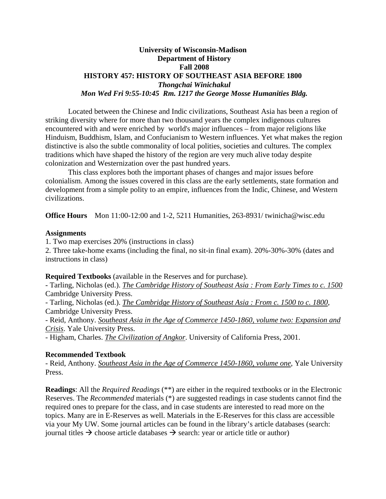### **University of Wisconsin-Madison Department of History Fall 2008 HISTORY 457: HISTORY OF SOUTHEAST ASIA BEFORE 1800**  *Thongchai Winichakul Mon Wed Fri 9:55-10:45 Rm. 1217 the George Mosse Humanities Bldg.*

 Located between the Chinese and Indic civilizations, Southeast Asia has been a region of striking diversity where for more than two thousand years the complex indigenous cultures encountered with and were enriched by world's major influences – from major religions like Hinduism, Buddhism, Islam, and Confucianism to Western influences. Yet what makes the region distinctive is also the subtle commonality of local polities, societies and cultures. The complex traditions which have shaped the history of the region are very much alive today despite colonization and Westernization over the past hundred years.

 This class explores both the important phases of changes and major issues before colonialism. Among the issues covered in this class are the early settlements, state formation and development from a simple polity to an empire, influences from the Indic, Chinese, and Western civilizations.

**Office Hours** Mon 11:00-12:00 and 1-2, 5211 Humanities, 263-8931/ twinicha@wisc.edu

#### **Assignments**

1. Two map exercises 20% (instructions in class)

2. Three take-home exams (including the final, no sit-in final exam). 20%-30%-30% (dates and instructions in class)

**Required Textbooks** (available in the Reserves and for purchase).

- Tarling, Nicholas (ed.). *The Cambridge History of Southeast Asia : From Early Times to c. 1500* Cambridge University Press.

- Tarling, Nicholas (ed.). *The Cambridge History of Southeast Asia : From c. 1500 to c. 1800*, Cambridge University Press.

- Reid, Anthony. *Southeast Asia in the Age of Commerce 1450-1860, volume two: Expansion and Crisis*. Yale University Press.

- Higham, Charles. *The Civilization of Angkor*. University of California Press, 2001.

### **Recommended Textbook**

- Reid, Anthony. *Southeast Asia in the Age of Commerce 1450-1860, volume one*, Yale University Press.

**Readings**: All the *Required Readings* (\*\*) are either in the required textbooks or in the Electronic Reserves. The *Recommended* materials (\*) are suggested readings in case students cannot find the required ones to prepare for the class, and in case students are interested to read more on the topics. Many are in E-Reserves as well. Materials in the E-Reserves for this class are accessible via your My UW. Some journal articles can be found in the library's article databases (search: journal titles  $\rightarrow$  choose article databases  $\rightarrow$  search: year or article title or author)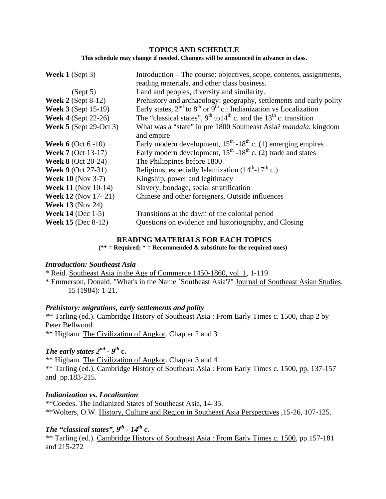### **TOPICS AND SCHEDULE**

**This schedule may change if needed. Changes will be announced in advance in class.** 

| Week $1$ (Sept 3)           | Introduction – The course: objectives, scope, contents, assignments,<br>reading materials, and other class business. |
|-----------------------------|----------------------------------------------------------------------------------------------------------------------|
| (Sept 5)                    | Land and peoples, diversity and similarity.                                                                          |
| Week $2$ (Sept 8-12)        | Prehistory and archaeology: geography, settlements and early polity                                                  |
| <b>Week 3 (Sept 15-19)</b>  | Early states, $2^{nd}$ to $8^{th}$ or $9^{th}$ c.: Indianization vs Localization                                     |
| <b>Week 4</b> (Sept 22-26)  | The "classical states", $9^{th}$ to $14^{th}$ c. and the $13^{th}$ c. transition                                     |
| Week $5$ (Sept 29-Oct 3)    | What was a "state" in pre 1800 Southeast Asia? <i>mandala</i> , kingdom<br>and empire                                |
| <b>Week 6</b> (Oct $6-10$ ) | Early modern development, $15^{th}$ -18 <sup>th</sup> c. (1) emerging empires                                        |
| <b>Week 7 (Oct 13-17)</b>   | Early modern development, $15^{th}$ -18 <sup>th</sup> c. (2) trade and states                                        |
| <b>Week 8 (Oct 20-24)</b>   | The Philippines before 1800                                                                                          |
| <b>Week 9 (Oct 27-31)</b>   | Religions, especially Islamization $(14th-17th c.)$                                                                  |
| <b>Week 10 (Nov 3-7)</b>    | Kingship, power and legitimacy                                                                                       |
| <b>Week 11 (Nov 10-14)</b>  | Slavery, bondage, social stratification                                                                              |
| <b>Week 12 (Nov 17-21)</b>  | Chinese and other foreigners, Outside influences                                                                     |
| <b>Week 13 (Nov 24)</b>     |                                                                                                                      |
| <b>Week 14</b> (Dec $1-5$ ) | Transitions at the dawn of the colonial period                                                                       |
| <b>Week 15 (Dec 8-12)</b>   | Questions on evidence and historiography, and Closing                                                                |

### **READING MATERIALS FOR EACH TOPICS**

**(\*\* = Required; \* = Recommended & substitute for the required ones)** 

### *Introduction: Southeast Asia*

\* Reid. Southeast Asia in the Age of Commerce 1450-1860, vol. 1, 1-119

\* Emmerson, Donald. "What's in the Name `Southeast Asia'?" Journal of Southeast Asian Studies, 15 (1984): 1-21.

### *Prehistory: migrations, early settlements and polity*

\*\* Tarling (ed.). Cambridge History of Southeast Asia : From Early Times c. 1500, chap 2 by Peter Bellwood.

\*\* Higham. The Civilization of Angkor. Chapter 2 and 3

## *The early states*  $2^{nd}$  -  $9^{th}$  c.

\*\* Higham. The Civilization of Angkor. Chapter 3 and 4 \*\* Tarling (ed.). Cambridge History of Southeast Asia : From Early Times c. 1500, pp. 137-157 and pp.183-215.

*Indianization vs. Localization* \*\*Coedes. The Indianized States of Southeast Asia, 14-35. \*\*Wolters, O.W. History, Culture and Region in Southeast Asia Perspectives ,15-26, 107-125.

# *The "classical states", 9<sup>th</sup> - 14<sup>th</sup> c.*

\*\* Tarling (ed.). Cambridge History of Southeast Asia : From Early Times c. 1500, pp.157-181 and 215-272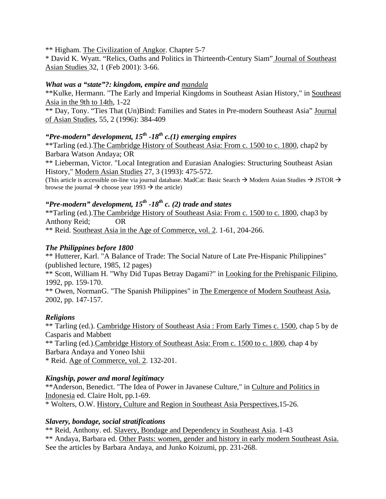\*\* Higham. The Civilization of Angkor. Chapter 5-7

\* David K. Wyatt. "Relics, Oaths and Politics in Thirteenth-Century Siam" Journal of Southeast Asian Studies 32, 1 (Feb 2001): 3-66.

## *What was a "state"?: kingdom, empire and mandala*

\*\*Kulke, Hermann. "The Early and Imperial Kingdoms in Southeast Asian History," in Southeast Asia in the 9th to 14th, 1-22

\*\* Day, Tony. "Ties That (Un)Bind: Families and States in Pre-modern Southeast Asia" Journal of Asian Studies, 55, 2 (1996): 384-409

## *"Pre-modern" development, 15th -18th c.(1) emerging empires*

\*\*Tarling (ed.).The Cambridge History of Southeast Asia: From c. 1500 to c. 1800, chap2 by Barbara Watson Andaya; OR

\*\* Lieberman, Victor. "Local Integration and Eurasian Analogies: Structuring Southeast Asian History," Modern Asian Studies 27, 3 (1993): 475-572.

(This article is accessible on-line via journal database. MadCat: Basic Search  $\rightarrow$  Modern Asian Studies  $\rightarrow$  JSTOR  $\rightarrow$ browse the journal  $\rightarrow$  choose year 1993  $\rightarrow$  the article)

# *"Pre-modern" development, 15th -18th c. (2) trade and states*

\*\*Tarling (ed.).The Cambridge History of Southeast Asia: From c. 1500 to c. 1800, chap3 by Anthony Reid; OR

\*\* Reid. Southeast Asia in the Age of Commerce, vol. 2. 1-61, 204-266.

## *The Philippines before 1800*

\*\* Hutterer, Karl. "A Balance of Trade: The Social Nature of Late Pre-Hispanic Philippines" (published lecture, 1985, 12 pages)

\*\* Scott, William H. "Why Did Tupas Betray Dagami?" in Looking for the Prehispanic Filipino, 1992, pp. 159-170.

\*\* Owen, NormanG. "The Spanish Philippines" in The Emergence of Modern Southeast Asia, 2002, pp. 147-157.

## *Religions*

\*\* Tarling (ed.). Cambridge History of Southeast Asia : From Early Times c. 1500, chap 5 by de Casparis and Mabbett

\*\* Tarling (ed.).Cambridge History of Southeast Asia: From c. 1500 to c. 1800, chap 4 by Barbara Andaya and Yoneo Ishii

\* Reid. Age of Commerce, vol. 2. 132-201.

## *Kingship, power and moral legitimacy*

\*\*Anderson, Benedict. "The Idea of Power in Javanese Culture," in Culture and Politics in Indonesia ed. Claire Holt, pp.1-69.

\* Wolters, O.W. History, Culture and Region in Southeast Asia Perspectives,15-26.

## *Slavery, bondage, social stratifications*

\*\* Reid, Anthony. ed. Slavery, Bondage and Dependency in Southeast Asia. 1-43 \*\* Andaya, Barbara ed. Other Pasts: women, gender and history in early modern Southeast Asia. See the articles by Barbara Andaya, and Junko Koizumi, pp. 231-268.